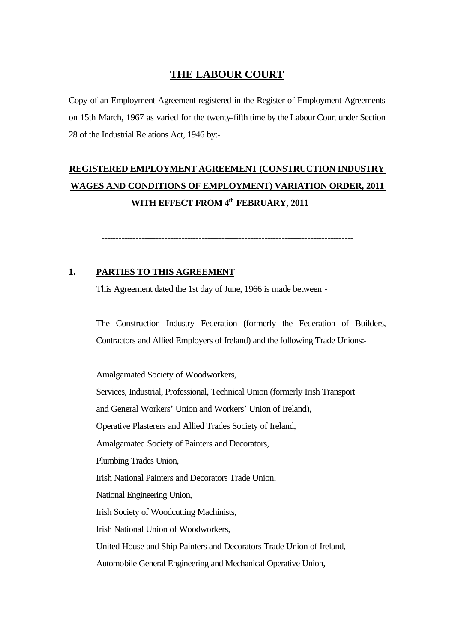# **THE LABOUR COURT**

Copy of an Employment Agreement registered in the Register of Employment Agreements on 15th March, 1967 as varied for the twenty-fifth time by the Labour Court under Section 28 of the Industrial Relations Act, 1946 by:-

# **REGISTERED EMPLOYMENT AGREEMENT (CONSTRUCTION INDUSTRY WAGES AND CONDITIONS OF EMPLOYMENT) VARIATION ORDER, 2011 WITH EFFECT FROM 4th FEBRUARY, 2011**

**----------------------------------------------------------------------------------------**

## **1. PARTIES TO THIS AGREEMENT**

This Agreement dated the 1st day of June, 1966 is made between -

The Construction Industry Federation (formerly the Federation of Builders, Contractors and Allied Employers of Ireland) and the following Trade Unions:-

Amalgamated Society of Woodworkers, Services, Industrial, Professional, Technical Union (formerly Irish Transport and General Workers' Union and Workers' Union of Ireland), Operative Plasterers and Allied Trades Society of Ireland, Amalgamated Society of Painters and Decorators, Plumbing Trades Union, Irish National Painters and Decorators Trade Union, National Engineering Union, Irish Society of Woodcutting Machinists, Irish National Union of Woodworkers, United House and Ship Painters and Decorators Trade Union of Ireland, Automobile General Engineering and Mechanical Operative Union,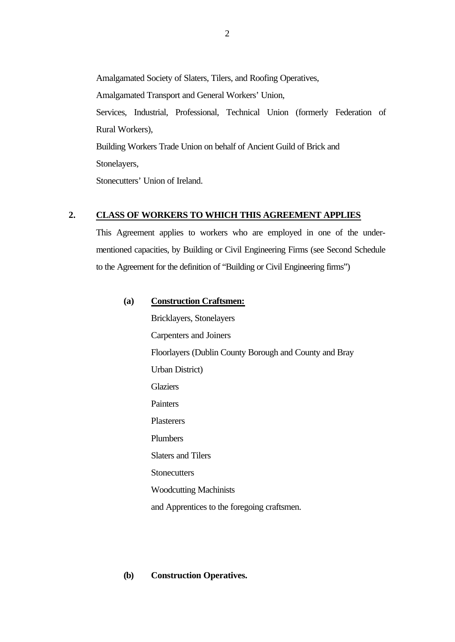Amalgamated Society of Slaters, Tilers, and Roofing Operatives, Amalgamated Transport and General Workers' Union, Services, Industrial, Professional, Technical Union (formerly Federation of Rural Workers), Building Workers Trade Union on behalf of Ancient Guild of Brick and Stonelayers,

Stonecutters' Union of Ireland.

## **2. CLASS OF WORKERS TO WHICH THIS AGREEMENT APPLIES**

This Agreement applies to workers who are employed in one of the undermentioned capacities, by Building or Civil Engineering Firms (see Second Schedule to the Agreement for the definition of "Building or Civil Engineering firms")

### **(a) Construction Craftsmen:**

Bricklayers, Stonelayers Carpenters and Joiners Floorlayers (Dublin County Borough and County and Bray Urban District) **Glaziers Painters** Plasterers Plumbers Slaters and Tilers **Stonecutters** Woodcutting Machinists and Apprentices to the foregoing craftsmen.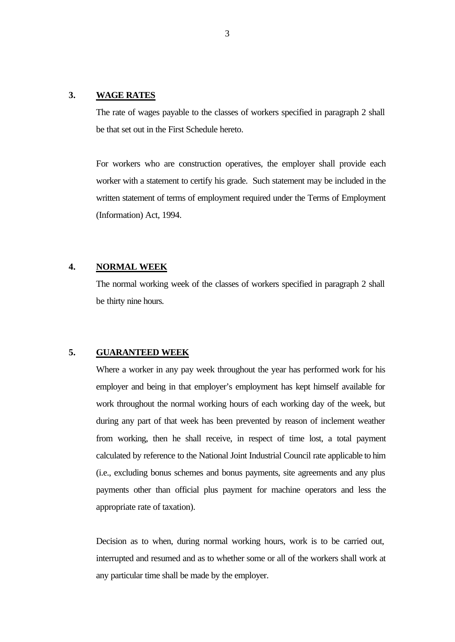### **3. WAGE RATES**

The rate of wages payable to the classes of workers specified in paragraph 2 shall be that set out in the First Schedule hereto.

For workers who are construction operatives, the employer shall provide each worker with a statement to certify his grade. Such statement may be included in the written statement of terms of employment required under the Terms of Employment (Information) Act, 1994.

## **4. NORMAL WEEK**

The normal working week of the classes of workers specified in paragraph 2 shall be thirty nine hours.

### **5. GUARANTEED WEEK**

Where a worker in any pay week throughout the year has performed work for his employer and being in that employer's employment has kept himself available for work throughout the normal working hours of each working day of the week, but during any part of that week has been prevented by reason of inclement weather from working, then he shall receive, in respect of time lost, a total payment calculated by reference to the National Joint Industrial Council rate applicable to him (i.e., excluding bonus schemes and bonus payments, site agreements and any plus payments other than official plus payment for machine operators and less the appropriate rate of taxation).

Decision as to when, during normal working hours, work is to be carried out, interrupted and resumed and as to whether some or all of the workers shall work at any particular time shall be made by the employer.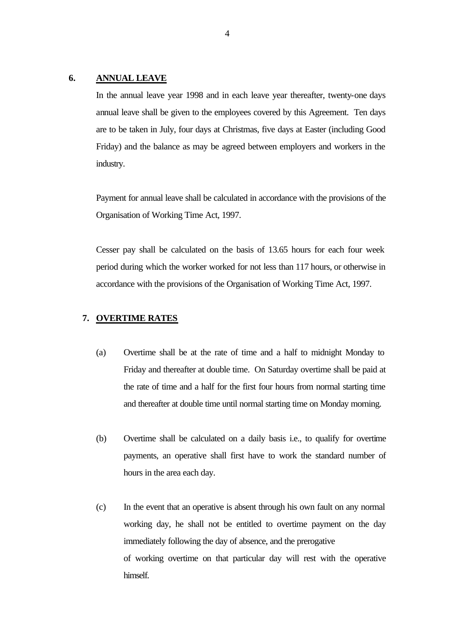### **6. ANNUAL LEAVE**

In the annual leave year 1998 and in each leave year thereafter, twenty-one days annual leave shall be given to the employees covered by this Agreement. Ten days are to be taken in July, four days at Christmas, five days at Easter (including Good Friday) and the balance as may be agreed between employers and workers in the industry.

Payment for annual leave shall be calculated in accordance with the provisions of the Organisation of Working Time Act, 1997.

Cesser pay shall be calculated on the basis of 13.65 hours for each four week period during which the worker worked for not less than 117 hours, or otherwise in accordance with the provisions of the Organisation of Working Time Act, 1997.

#### **7. OVERTIME RATES**

- (a) Overtime shall be at the rate of time and a half to midnight Monday to Friday and thereafter at double time. On Saturday overtime shall be paid at the rate of time and a half for the first four hours from normal starting time and thereafter at double time until normal starting time on Monday morning.
- (b) Overtime shall be calculated on a daily basis i.e., to qualify for overtime payments, an operative shall first have to work the standard number of hours in the area each day.
- (c) In the event that an operative is absent through his own fault on any normal working day, he shall not be entitled to overtime payment on the day immediately following the day of absence, and the prerogative of working overtime on that particular day will rest with the operative himself.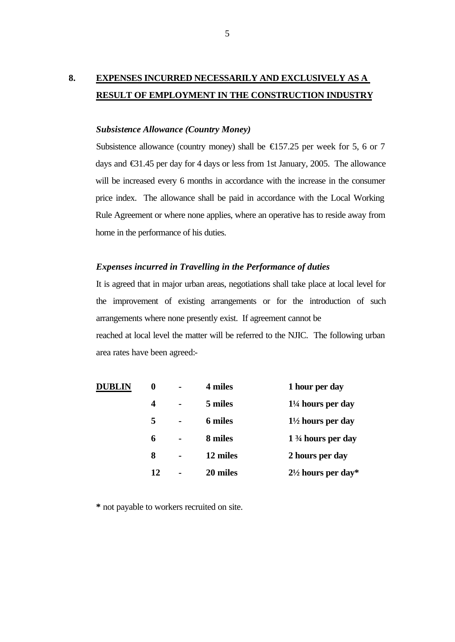# **8. EXPENSES INCURRED NECESSARILY AND EXCLUSIVELY AS A RESULT OF EMPLOYMENT IN THE CONSTRUCTION INDUSTRY**

## *Subsistence Allowance (Country Money)*

Subsistence allowance (country money) shall be  $E$ 157.25 per week for 5, 6 or 7 days and €31.45 per day for 4 days or less from 1st January, 2005. The allowance will be increased every 6 months in accordance with the increase in the consumer price index. The allowance shall be paid in accordance with the Local Working Rule Agreement or where none applies, where an operative has to reside away from home in the performance of his duties.

### *Expenses incurred in Travelling in the Performance of duties*

It is agreed that in major urban areas, negotiations shall take place at local level for the improvement of existing arrangements or for the introduction of such arrangements where none presently exist. If agreement cannot be reached at local level the matter will be referred to the NJIC. The following urban area rates have been agreed:-

| <b>DUBLIN</b> | 0  |                | 4 miles  | 1 hour per day                |
|---------------|----|----------------|----------|-------------------------------|
|               | 4  | $\blacksquare$ | 5 miles  | $1\frac{1}{4}$ hours per day  |
|               | 5  | $\blacksquare$ | 6 miles  | $1\frac{1}{2}$ hours per day  |
|               | 6  | $\blacksquare$ | 8 miles  | $1\frac{3}{4}$ hours per day  |
|               | 8  | $\blacksquare$ | 12 miles | 2 hours per day               |
|               | 12 | $\blacksquare$ | 20 miles | $2\frac{1}{2}$ hours per day* |

**\*** not payable to workers recruited on site.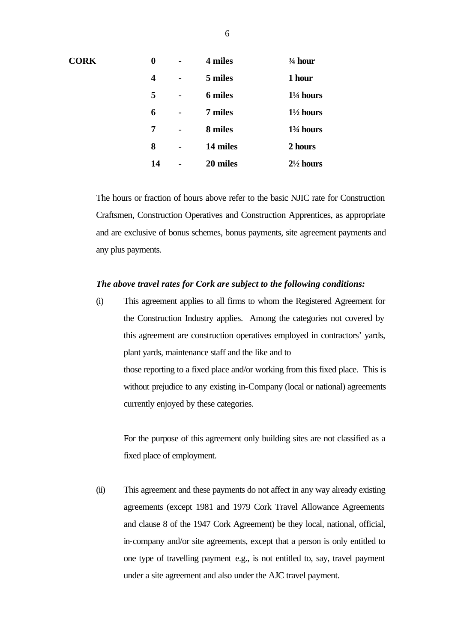| <b>CORK</b> | 0  | $\blacksquare$ | 4 miles        | $\frac{3}{4}$ hour                  |
|-------------|----|----------------|----------------|-------------------------------------|
|             | 4  |                | 5 miles        | 1 hour                              |
|             | 5  | $\blacksquare$ | <b>6 miles</b> | $1\frac{1}{4}$ hours                |
|             | 6  |                | 7 miles        | $1\frac{1}{2}$ hours                |
|             | 7  | $\blacksquare$ | 8 miles        | 1 <sup>3</sup> / <sub>4</sub> hours |
|             | 8  | -              | 14 miles       | 2 hours                             |
|             | 14 |                | 20 miles       | $2\frac{1}{2}$ hours                |

The hours or fraction of hours above refer to the basic NJIC rate for Construction Craftsmen, Construction Operatives and Construction Apprentices, as appropriate and are exclusive of bonus schemes, bonus payments, site agreement payments and any plus payments.

#### *The above travel rates for Cork are subject to the following conditions:*

(i) This agreement applies to all firms to whom the Registered Agreement for the Construction Industry applies. Among the categories not covered by this agreement are construction operatives employed in contractors' yards, plant yards, maintenance staff and the like and to those reporting to a fixed place and/or working from this fixed place. This is without prejudice to any existing in-Company (local or national) agreements currently enjoyed by these categories.

For the purpose of this agreement only building sites are not classified as a fixed place of employment.

(ii) This agreement and these payments do not affect in any way already existing agreements (except 1981 and 1979 Cork Travel Allowance Agreements and clause 8 of the 1947 Cork Agreement) be they local, national, official, in-company and/or site agreements, except that a person is only entitled to one type of travelling payment e.g., is not entitled to, say, travel payment under a site agreement and also under the AJC travel payment.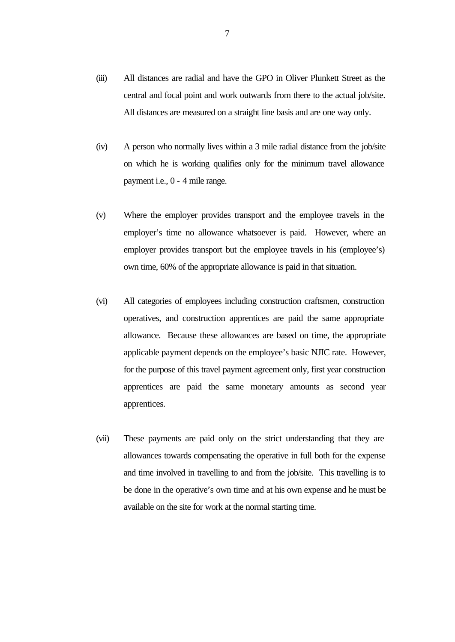- (iii) All distances are radial and have the GPO in Oliver Plunkett Street as the central and focal point and work outwards from there to the actual job/site. All distances are measured on a straight line basis and are one way only.
- (iv) A person who normally lives within a 3 mile radial distance from the job/site on which he is working qualifies only for the minimum travel allowance payment i.e., 0 - 4 mile range.
- (v) Where the employer provides transport and the employee travels in the employer's time no allowance whatsoever is paid. However, where an employer provides transport but the employee travels in his (employee's) own time, 60% of the appropriate allowance is paid in that situation.
- (vi) All categories of employees including construction craftsmen, construction operatives, and construction apprentices are paid the same appropriate allowance. Because these allowances are based on time, the appropriate applicable payment depends on the employee's basic NJIC rate. However, for the purpose of this travel payment agreement only, first year construction apprentices are paid the same monetary amounts as second year apprentices.
- (vii) These payments are paid only on the strict understanding that they are allowances towards compensating the operative in full both for the expense and time involved in travelling to and from the job/site. This travelling is to be done in the operative's own time and at his own expense and he must be available on the site for work at the normal starting time.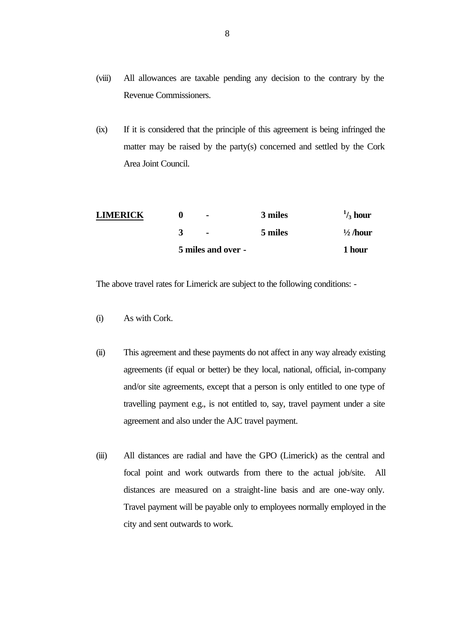- (viii) All allowances are taxable pending any decision to the contrary by the Revenue Commissioners.
- (ix) If it is considered that the principle of this agreement is being infringed the matter may be raised by the party(s) concerned and settled by the Cork Area Joint Council.

|                 | 5 miles and over - |         | 1 hour              |
|-----------------|--------------------|---------|---------------------|
|                 | $\blacksquare$     | 5 miles | $\frac{1}{2}$ /hour |
| <b>LIMERICK</b> | $\blacksquare$     | 3 miles | $\frac{1}{3}$ hour  |

The above travel rates for Limerick are subject to the following conditions: -

- (i) As with Cork.
- (ii) This agreement and these payments do not affect in any way already existing agreements (if equal or better) be they local, national, official, in-company and/or site agreements, except that a person is only entitled to one type of travelling payment e.g., is not entitled to, say, travel payment under a site agreement and also under the AJC travel payment.
- (iii) All distances are radial and have the GPO (Limerick) as the central and focal point and work outwards from there to the actual job/site. All distances are measured on a straight-line basis and are one-way only. Travel payment will be payable only to employees normally employed in the city and sent outwards to work.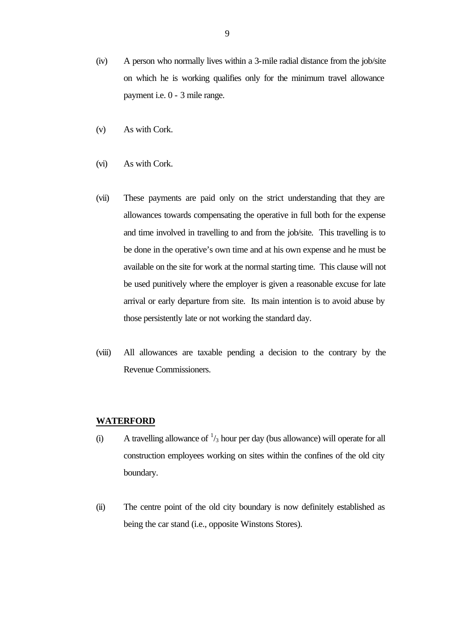- (iv) A person who normally lives within a 3-mile radial distance from the job/site on which he is working qualifies only for the minimum travel allowance payment i.e. 0 - 3 mile range.
- (v) As with Cork.
- (vi) As with Cork.
- (vii) These payments are paid only on the strict understanding that they are allowances towards compensating the operative in full both for the expense and time involved in travelling to and from the job/site. This travelling is to be done in the operative's own time and at his own expense and he must be available on the site for work at the normal starting time. This clause will not be used punitively where the employer is given a reasonable excuse for late arrival or early departure from site. Its main intention is to avoid abuse by those persistently late or not working the standard day.
- (viii) All allowances are taxable pending a decision to the contrary by the Revenue Commissioners.

## **WATERFORD**

- (i) A travelling allowance of  $\frac{1}{3}$  hour per day (bus allowance) will operate for all construction employees working on sites within the confines of the old city boundary.
- (ii) The centre point of the old city boundary is now definitely established as being the car stand (i.e., opposite Winstons Stores).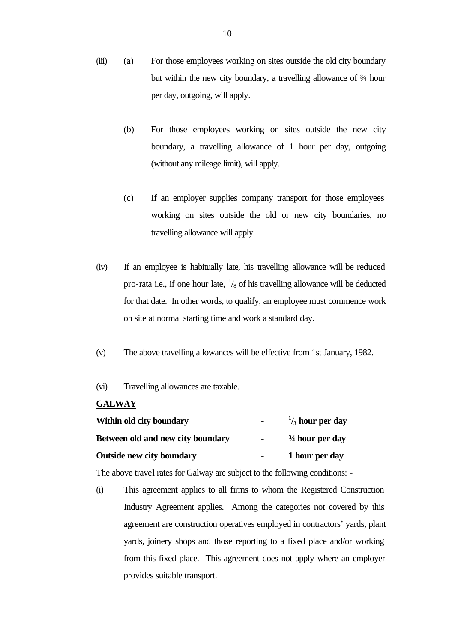- (iii) (a) For those employees working on sites outside the old city boundary but within the new city boundary, a travelling allowance of  $\frac{3}{4}$  hour per day, outgoing, will apply.
	- (b) For those employees working on sites outside the new city boundary, a travelling allowance of 1 hour per day, outgoing (without any mileage limit), will apply.
	- (c) If an employer supplies company transport for those employees working on sites outside the old or new city boundaries, no travelling allowance will apply.
- (iv) If an employee is habitually late, his travelling allowance will be reduced pro-rata i.e., if one hour late,  $\frac{1}{8}$  of his travelling allowance will be deducted for that date. In other words, to qualify, an employee must commence work on site at normal starting time and work a standard day.
- (v) The above travelling allowances will be effective from 1st January, 1982.
- (vi) Travelling allowances are taxable.

## **GALWAY**

| Within old city boundary          | $\sim$         | $\frac{1}{3}$ hour per day |
|-----------------------------------|----------------|----------------------------|
| Between old and new city boundary | $\blacksquare$ | $\frac{3}{4}$ hour per day |
| <b>Outside new city boundary</b>  | $\sim$         | 1 hour per day             |

The above travel rates for Galway are subject to the following conditions: -

(i) This agreement applies to all firms to whom the Registered Construction Industry Agreement applies. Among the categories not covered by this agreement are construction operatives employed in contractors' yards, plant yards, joinery shops and those reporting to a fixed place and/or working from this fixed place. This agreement does not apply where an employer provides suitable transport.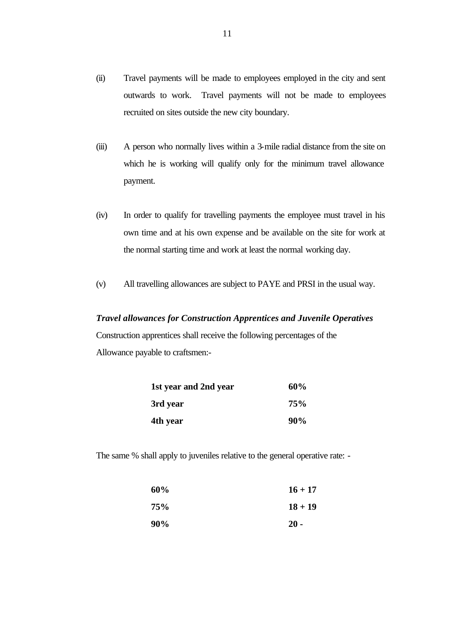- (ii) Travel payments will be made to employees employed in the city and sent outwards to work. Travel payments will not be made to employees recruited on sites outside the new city boundary.
- (iii) A person who normally lives within a 3-mile radial distance from the site on which he is working will qualify only for the minimum travel allowance payment.
- (iv) In order to qualify for travelling payments the employee must travel in his own time and at his own expense and be available on the site for work at the normal starting time and work at least the normal working day.
- (v) All travelling allowances are subject to PAYE and PRSI in the usual way.

### *Travel allowances for Construction Apprentices and Juvenile Operatives*

Construction apprentices shall receive the following percentages of the Allowance payable to craftsmen:-

| 1st year and 2nd year | 60% |
|-----------------------|-----|
| 3rd year              | 75% |
| 4th year              | 90% |

The same % shall apply to juveniles relative to the general operative rate: -

| 60% | $16 + 17$ |
|-----|-----------|
| 75% | $18 + 19$ |
| 90% | $20 -$    |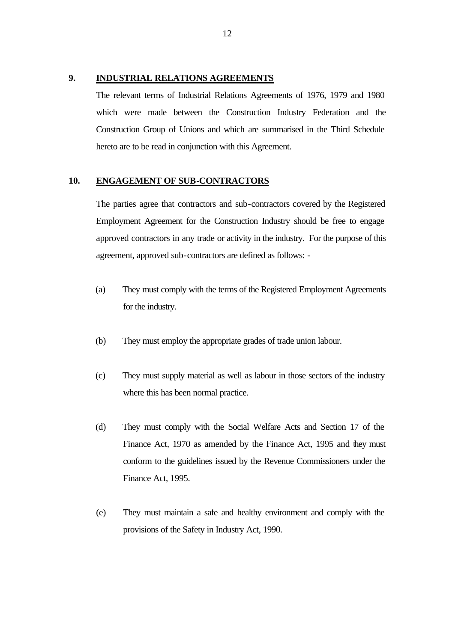#### **9. INDUSTRIAL RELATIONS AGREEMENTS**

The relevant terms of Industrial Relations Agreements of 1976, 1979 and 1980 which were made between the Construction Industry Federation and the Construction Group of Unions and which are summarised in the Third Schedule hereto are to be read in conjunction with this Agreement.

## **10. ENGAGEMENT OF SUB-CONTRACTORS**

The parties agree that contractors and sub-contractors covered by the Registered Employment Agreement for the Construction Industry should be free to engage approved contractors in any trade or activity in the industry. For the purpose of this agreement, approved sub-contractors are defined as follows: -

- (a) They must comply with the terms of the Registered Employment Agreements for the industry.
- (b) They must employ the appropriate grades of trade union labour.
- (c) They must supply material as well as labour in those sectors of the industry where this has been normal practice.
- (d) They must comply with the Social Welfare Acts and Section 17 of the Finance Act, 1970 as amended by the Finance Act, 1995 and they must conform to the guidelines issued by the Revenue Commissioners under the Finance Act, 1995.
- (e) They must maintain a safe and healthy environment and comply with the provisions of the Safety in Industry Act, 1990.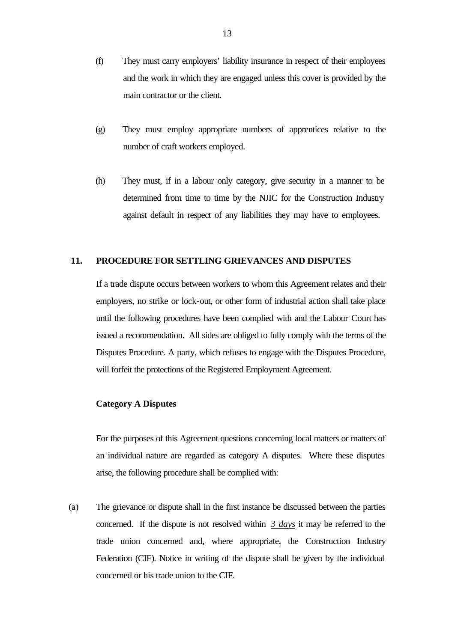- (f) They must carry employers' liability insurance in respect of their employees and the work in which they are engaged unless this cover is provided by the main contractor or the client.
- (g) They must employ appropriate numbers of apprentices relative to the number of craft workers employed.
- (h) They must, if in a labour only category, give security in a manner to be determined from time to time by the NJIC for the Construction Industry against default in respect of any liabilities they may have to employees.

### **11. PROCEDURE FOR SETTLING GRIEVANCES AND DISPUTES**

If a trade dispute occurs between workers to whom this Agreement relates and their employers, no strike or lock-out, or other form of industrial action shall take place until the following procedures have been complied with and the Labour Court has issued a recommendation. All sides are obliged to fully comply with the terms of the Disputes Procedure. A party, which refuses to engage with the Disputes Procedure, will forfeit the protections of the Registered Employment Agreement.

## **Category A Disputes**

For the purposes of this Agreement questions concerning local matters or matters of an individual nature are regarded as category A disputes. Where these disputes arise, the following procedure shall be complied with:

(a) The grievance or dispute shall in the first instance be discussed between the parties concerned. If the dispute is not resolved within *3 days* it may be referred to the trade union concerned and, where appropriate, the Construction Industry Federation (CIF). Notice in writing of the dispute shall be given by the individual concerned or his trade union to the CIF.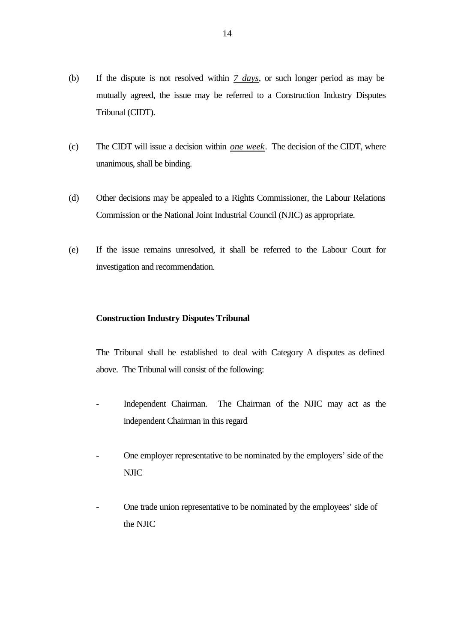- (b) If the dispute is not resolved within *7 days*, or such longer period as may be mutually agreed, the issue may be referred to a Construction Industry Disputes Tribunal (CIDT).
- (c) The CIDT will issue a decision within *one week*. The decision of the CIDT, where unanimous, shall be binding.
- (d) Other decisions may be appealed to a Rights Commissioner, the Labour Relations Commission or the National Joint Industrial Council (NJIC) as appropriate.
- (e) If the issue remains unresolved, it shall be referred to the Labour Court for investigation and recommendation.

### **Construction Industry Disputes Tribunal**

The Tribunal shall be established to deal with Category A disputes as defined above. The Tribunal will consist of the following:

- Independent Chairman. The Chairman of the NJIC may act as the independent Chairman in this regard
- One employer representative to be nominated by the employers' side of the NJIC
- One trade union representative to be nominated by the employees' side of the NJIC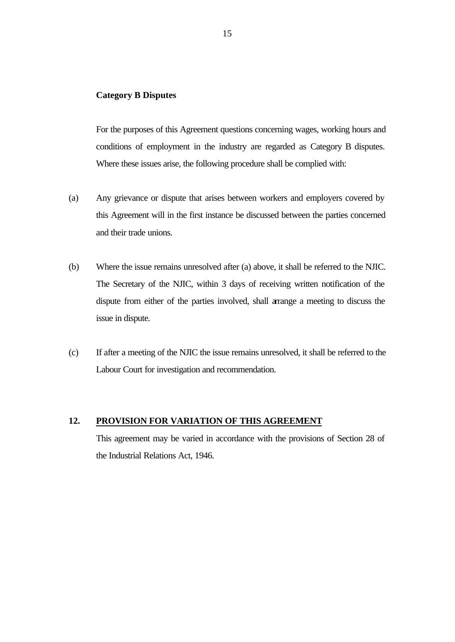### **Category B Disputes**

For the purposes of this Agreement questions concerning wages, working hours and conditions of employment in the industry are regarded as Category B disputes. Where these issues arise, the following procedure shall be complied with:

- (a) Any grievance or dispute that arises between workers and employers covered by this Agreement will in the first instance be discussed between the parties concerned and their trade unions.
- (b) Where the issue remains unresolved after (a) above, it shall be referred to the NJIC. The Secretary of the NJIC, within 3 days of receiving written notification of the dispute from either of the parties involved, shall arrange a meeting to discuss the issue in dispute.
- (c) If after a meeting of the NJIC the issue remains unresolved, it shall be referred to the Labour Court for investigation and recommendation.

## **12. PROVISION FOR VARIATION OF THIS AGREEMENT**

This agreement may be varied in accordance with the provisions of Section 28 of the Industrial Relations Act, 1946.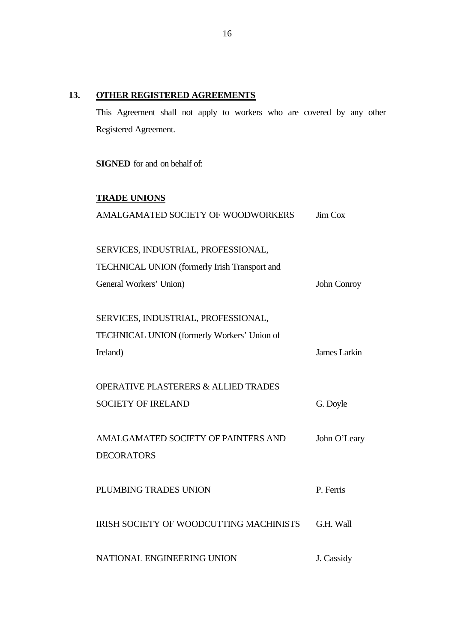## **13. OTHER REGISTERED AGREEMENTS**

This Agreement shall not apply to workers who are covered by any other Registered Agreement.

**SIGNED** for and on behalf of:

# **TRADE UNIONS**

| AMALGAMATED SOCIETY OF WOODWORKERS              | Jim Cox      |
|-------------------------------------------------|--------------|
| SERVICES, INDUSTRIAL, PROFESSIONAL,             |              |
| TECHNICAL UNION (formerly Irish Transport and   |              |
| General Workers' Union)                         | John Conroy  |
| SERVICES, INDUSTRIAL, PROFESSIONAL,             |              |
| TECHNICAL UNION (formerly Workers' Union of     |              |
| Ireland)                                        | James Larkin |
| <b>OPERATIVE PLASTERERS &amp; ALLIED TRADES</b> |              |
| <b>SOCIETY OF IRELAND</b>                       | G. Doyle     |
| AMALGAMATED SOCIETY OF PAINTERS AND             | John O'Leary |
| <b>DECORATORS</b>                               |              |
| PLUMBING TRADES UNION                           | P. Ferris    |
| IRISH SOCIETY OF WOODCUTTING MACHINISTS         | G.H. Wall    |
| NATIONAL ENGINEERING UNION                      | J. Cassidy   |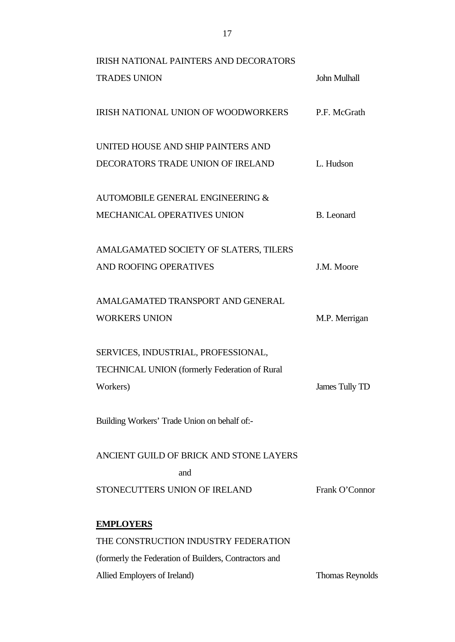| <b>IRISH NATIONAL PAINTERS AND DECORATORS</b>         |                        |
|-------------------------------------------------------|------------------------|
| <b>TRADES UNION</b>                                   | <b>John Mulhall</b>    |
| IRISH NATIONAL UNION OF WOODWORKERS                   | P.F. McGrath           |
| UNITED HOUSE AND SHIP PAINTERS AND                    |                        |
| DECORATORS TRADE UNION OF IRELAND                     | L. Hudson              |
| AUTOMOBILE GENERAL ENGINEERING &                      |                        |
| MECHANICAL OPERATIVES UNION                           | <b>B.</b> Leonard      |
| AMALGAMATED SOCIETY OF SLATERS, TILERS                |                        |
| <b>AND ROOFING OPERATIVES</b>                         | J.M. Moore             |
| AMALGAMATED TRANSPORT AND GENERAL                     |                        |
| <b>WORKERS UNION</b>                                  | M.P. Merrigan          |
| SERVICES, INDUSTRIAL, PROFESSIONAL,                   |                        |
| <b>TECHNICAL UNION (formerly Federation of Rural</b>  |                        |
| Workers)                                              | James Tully TD         |
| Building Workers' Trade Union on behalf of:-          |                        |
| ANCIENT GUILD OF BRICK AND STONE LAYERS               |                        |
| and                                                   |                        |
| STONECUTTERS UNION OF IRELAND                         | Frank O'Connor         |
| <b>EMPLOYERS</b>                                      |                        |
| THE CONSTRUCTION INDUSTRY FEDERATION                  |                        |
| (formerly the Federation of Builders, Contractors and |                        |
| Allied Employers of Ireland)                          | <b>Thomas Reynolds</b> |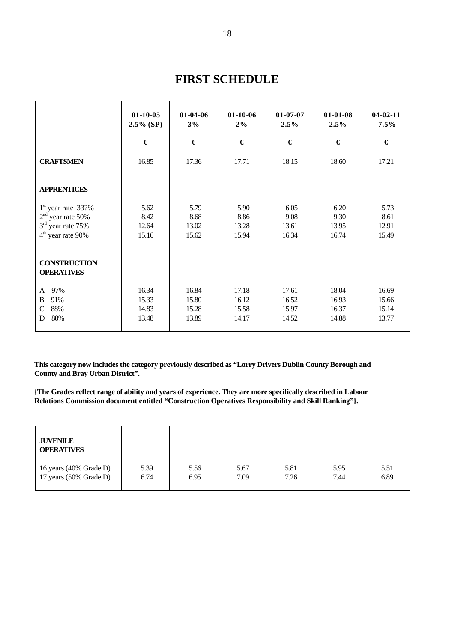|                                                                                           | $01-10-05$<br>$2.5\%$ (SP)<br>€  | 01-04-06<br>3%<br>€              | $01-10-06$<br>2%<br>€            | $01 - 07 - 07$<br>2.5%<br>€      | $01-01-08$<br>2.5%<br>€          | $04 - 02 - 11$<br>$-7.5\%$<br>€  |
|-------------------------------------------------------------------------------------------|----------------------------------|----------------------------------|----------------------------------|----------------------------------|----------------------------------|----------------------------------|
| <b>CRAFTSMEN</b>                                                                          | 16.85                            | 17.36                            | 17.71                            | 18.15                            | 18.60                            | 17.21                            |
| <b>APPRENTICES</b>                                                                        |                                  |                                  |                                  |                                  |                                  |                                  |
| $1st$ year rate 33?%<br>$2nd$ year rate 50%<br>$3rd$ year rate 75%<br>$4th$ year rate 90% | 5.62<br>8.42<br>12.64<br>15.16   | 5.79<br>8.68<br>13.02<br>15.62   | 5.90<br>8.86<br>13.28<br>15.94   | 6.05<br>9.08<br>13.61<br>16.34   | 6.20<br>9.30<br>13.95<br>16.74   | 5.73<br>8.61<br>12.91<br>15.49   |
| <b>CONSTRUCTION</b><br><b>OPERATIVES</b>                                                  |                                  |                                  |                                  |                                  |                                  |                                  |
| 97%<br>A<br>91%<br>B<br>88%<br>$\mathcal{C}$<br>80%<br>D                                  | 16.34<br>15.33<br>14.83<br>13.48 | 16.84<br>15.80<br>15.28<br>13.89 | 17.18<br>16.12<br>15.58<br>14.17 | 17.61<br>16.52<br>15.97<br>14.52 | 18.04<br>16.93<br>16.37<br>14.88 | 16.69<br>15.66<br>15.14<br>13.77 |

# **FIRST SCHEDULE**

**This category now includes the category previously described as "Lorry Drivers Dublin County Borough and County and Bray Urban District".**

**{The Grades reflect range of ability and years of experience. They are more specifically described in Labour Relations Commission document entitled "Construction Operatives Responsibility and Skill Ranking"}.**

| <b>JUVENILE</b><br><b>OPERATIVES</b> |      |      |      |      |      |      |
|--------------------------------------|------|------|------|------|------|------|
| 16 years (40% Grade D)               | 5.39 | 5.56 | 5.67 | 5.81 | 5.95 | 5.51 |
| 17 years $(50\% \text{ Grade D})$    | 6.74 | 6.95 | 7.09 | 7.26 | 7.44 | 6.89 |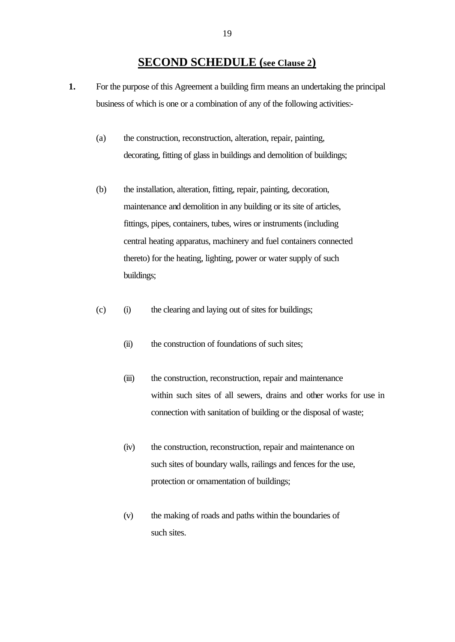## **SECOND SCHEDULE (see Clause 2)**

- **1.** For the purpose of this Agreement a building firm means an undertaking the principal business of which is one or a combination of any of the following activities:-
	- (a) the construction, reconstruction, alteration, repair, painting, decorating, fitting of glass in buildings and demolition of buildings;
	- (b) the installation, alteration, fitting, repair, painting, decoration, maintenance and demolition in any building or its site of articles, fittings, pipes, containers, tubes, wires or instruments (including central heating apparatus, machinery and fuel containers connected thereto) for the heating, lighting, power or water supply of such buildings;
	- (c) (i) the clearing and laying out of sites for buildings;
		- (ii) the construction of foundations of such sites;
		- (iii) the construction, reconstruction, repair and maintenance within such sites of all sewers, drains and other works for use in connection with sanitation of building or the disposal of waste;
		- (iv) the construction, reconstruction, repair and maintenance on such sites of boundary walls, railings and fences for the use, protection or ornamentation of buildings;
		- (v) the making of roads and paths within the boundaries of such sites.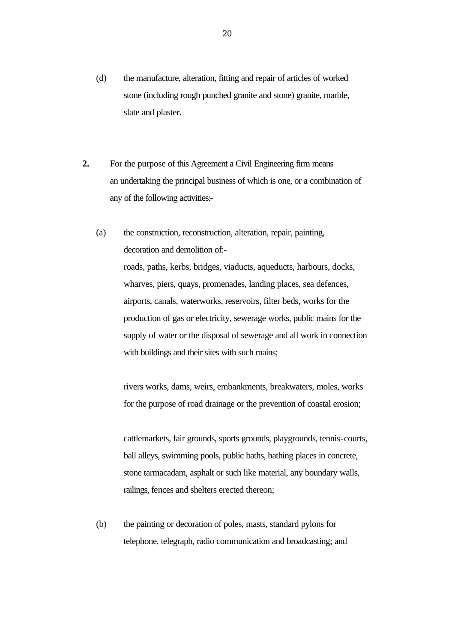- (d) the manufacture, alteration, fitting and repair of articles of worked stone (including rough punched granite and stone) granite, marble, slate and plaster.
- **2.** For the purpose of this Agreement a Civil Engineering firm means an undertaking the principal business of which is one, or a combination of any of the following activities:-
	- (a) the construction, reconstruction, alteration, repair, painting, decoration and demolition of: roads, paths, kerbs, bridges, viaducts, aqueducts, harbours, docks, wharves, piers, quays, promenades, landing places, sea defences, airports, canals, waterworks, reservoirs, filter beds, works for the production of gas or electricity, sewerage works, public mains for the supply of water or the disposal of sewerage and all work in connection with buildings and their sites with such mains;

rivers works, dams, weirs, embankments, breakwaters, moles, works for the purpose of road drainage or the prevention of coastal erosion;

cattlemarkets, fair grounds, sports grounds, playgrounds, tennis-courts, ball alleys, swimming pools, public baths, bathing places in concrete, stone tarmacadam, asphalt or such like material, any boundary walls, railings, fences and shelters erected thereon;

(b) the painting or decoration of poles, masts, standard pylons for telephone, telegraph, radio communication and broadcasting; and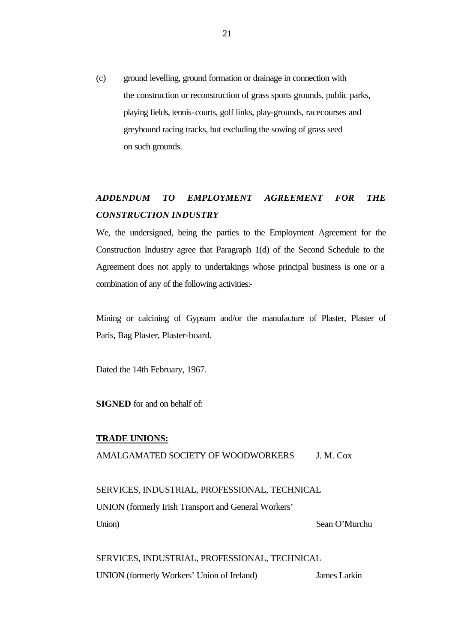(c) ground levelling, ground formation or drainage in connection with the construction or reconstruction of grass sports grounds, public parks, playing fields, tennis-courts, golf links, play-grounds, racecourses and greyhound racing tracks, but excluding the sowing of grass seed on such grounds.

# *ADDENDUM TO EMPLOYMENT AGREEMENT FOR THE CONSTRUCTION INDUSTRY*

We, the undersigned, being the parties to the Employment Agreement for the Construction Industry agree that Paragraph 1(d) of the Second Schedule to the Agreement does not apply to undertakings whose principal business is one or a combination of any of the following activities:-

Mining or calcining of Gypsum and/or the manufacture of Plaster, Plaster of Paris, Bag Plaster, Plaster-board.

Dated the 14th February, 1967.

**SIGNED** for and on behalf of:

#### **TRADE UNIONS:**

AMALGAMATED SOCIETY OF WOODWORKERS J. M. Cox

SERVICES, INDUSTRIAL, PROFESSIONAL, TECHNICAL UNION (formerly Irish Transport and General Workers' Union) Sean O'Murchu

SERVICES, INDUSTRIAL, PROFESSIONAL, TECHNICAL UNION (formerly Workers' Union of Ireland) James Larkin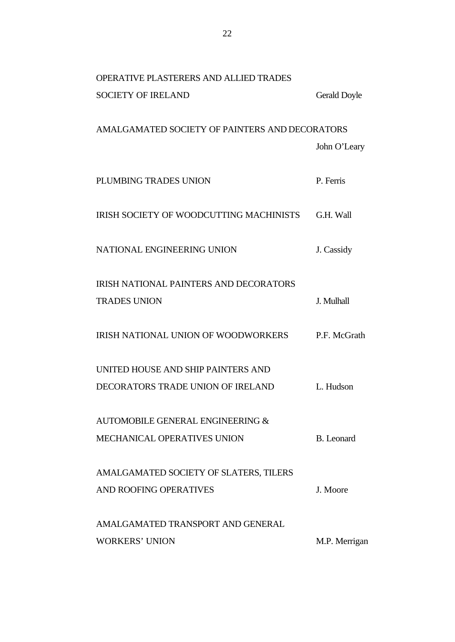| <b>OPERATIVE PLASTERERS AND ALLIED TRADES</b>  |                   |
|------------------------------------------------|-------------------|
| <b>SOCIETY OF IRELAND</b>                      | Gerald Doyle      |
|                                                |                   |
| AMALGAMATED SOCIETY OF PAINTERS AND DECORATORS |                   |
|                                                | John O'Leary      |
| PLUMBING TRADES UNION                          | P. Ferris         |
| IRISH SOCIETY OF WOODCUTTING MACHINISTS        | G.H. Wall         |
| NATIONAL ENGINEERING UNION                     | J. Cassidy        |
| <b>IRISH NATIONAL PAINTERS AND DECORATORS</b>  |                   |
| <b>TRADES UNION</b>                            | J. Mulhall        |
| IRISH NATIONAL UNION OF WOODWORKERS            | P.F. McGrath      |
| UNITED HOUSE AND SHIP PAINTERS AND             |                   |
| DECORATORS TRADE UNION OF IRELAND              | L. Hudson         |
| AUTOMOBILE GENERAL ENGINEERING &               |                   |
| MECHANICAL OPERATIVES UNION                    | <b>B.</b> Leonard |
| AMALGAMATED SOCIETY OF SLATERS, TILERS         |                   |
| AND ROOFING OPERATIVES                         | J. Moore          |
| AMALGAMATED TRANSPORT AND GENERAL              |                   |
| <b>WORKERS' UNION</b>                          | M.P. Merrigan     |
|                                                |                   |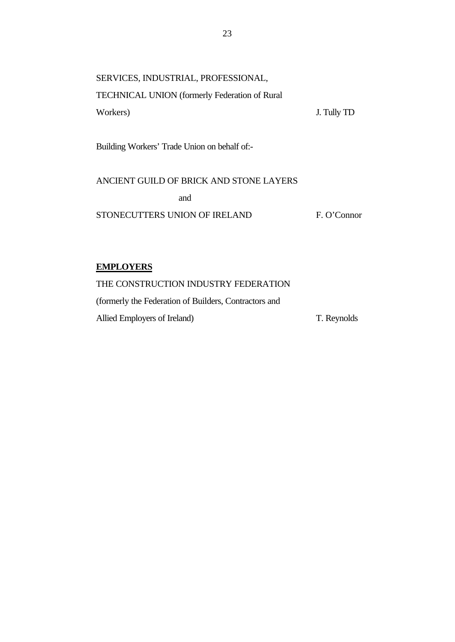| SERVICES, INDUSTRIAL, PROFESSIONAL,                  |             |
|------------------------------------------------------|-------------|
| <b>TECHNICAL UNION</b> (formerly Federation of Rural |             |
| Workers)                                             | J. Tully TD |
|                                                      |             |

Building Workers' Trade Union on behalf of:-

ANCIENT GUILD OF BRICK AND STONE LAYERS and STONECUTTERS UNION OF IRELAND F. O'Connor

## **EMPLOYERS**

THE CONSTRUCTION INDUSTRY FEDERATION (formerly the Federation of Builders, Contractors and Allied Employers of Ireland) T. Reynolds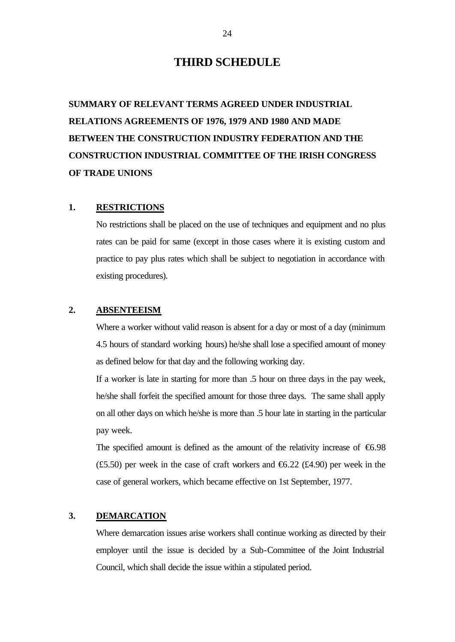## **THIRD SCHEDULE**

**SUMMARY OF RELEVANT TERMS AGREED UNDER INDUSTRIAL RELATIONS AGREEMENTS OF 1976, 1979 AND 1980 AND MADE BETWEEN THE CONSTRUCTION INDUSTRY FEDERATION AND THE CONSTRUCTION INDUSTRIAL COMMITTEE OF THE IRISH CONGRESS OF TRADE UNIONS**

## **1. RESTRICTIONS**

No restrictions shall be placed on the use of techniques and equipment and no plus rates can be paid for same (except in those cases where it is existing custom and practice to pay plus rates which shall be subject to negotiation in accordance with existing procedures).

### **2. ABSENTEEISM**

Where a worker without valid reason is absent for a day or most of a day (minimum 4.5 hours of standard working hours) he/she shall lose a specified amount of money as defined below for that day and the following working day.

If a worker is late in starting for more than .5 hour on three days in the pay week, he/she shall forfeit the specified amount for those three days. The same shall apply on all other days on which he/she is more than .5 hour late in starting in the particular pay week.

The specified amount is defined as the amount of the relativity increase of  $\epsilon$ 6.98 (£5.50) per week in the case of craft workers and  $\epsilon$ 6.22 (£4.90) per week in the case of general workers, which became effective on 1st September, 1977.

## **3. DEMARCATION**

Where demarcation issues arise workers shall continue working as directed by their employer until the issue is decided by a Sub-Committee of the Joint Industrial Council, which shall decide the issue within a stipulated period.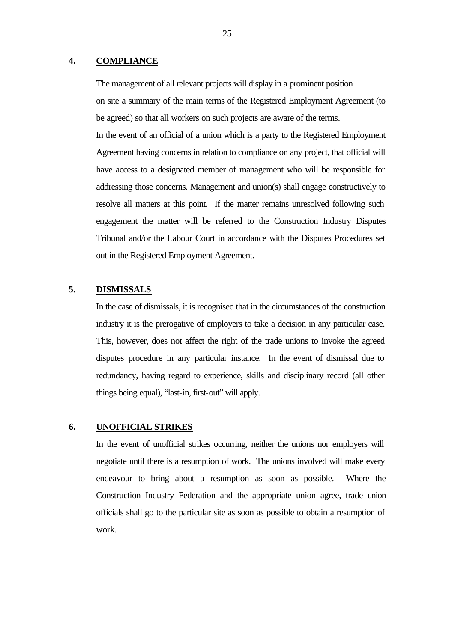### **4. COMPLIANCE**

The management of all relevant projects will display in a prominent position on site a summary of the main terms of the Registered Employment Agreement (to be agreed) so that all workers on such projects are aware of the terms. In the event of an official of a union which is a party to the Registered Employment Agreement having concerns in relation to compliance on any project, that official will have access to a designated member of management who will be responsible for addressing those concerns. Management and union(s) shall engage constructively to resolve all matters at this point. If the matter remains unresolved following such engagement the matter will be referred to the Construction Industry Disputes Tribunal and/or the Labour Court in accordance with the Disputes Procedures set out in the Registered Employment Agreement.

## **5. DISMISSALS**

In the case of dismissals, it is recognised that in the circumstances of the construction industry it is the prerogative of employers to take a decision in any particular case. This, however, does not affect the right of the trade unions to invoke the agreed disputes procedure in any particular instance. In the event of dismissal due to redundancy, having regard to experience, skills and disciplinary record (all other things being equal), "last-in, first-out" will apply.

### **6. UNOFFICIAL STRIKES**

In the event of unofficial strikes occurring, neither the unions nor employers will negotiate until there is a resumption of work. The unions involved will make every endeavour to bring about a resumption as soon as possible. Where the Construction Industry Federation and the appropriate union agree, trade union officials shall go to the particular site as soon as possible to obtain a resumption of work.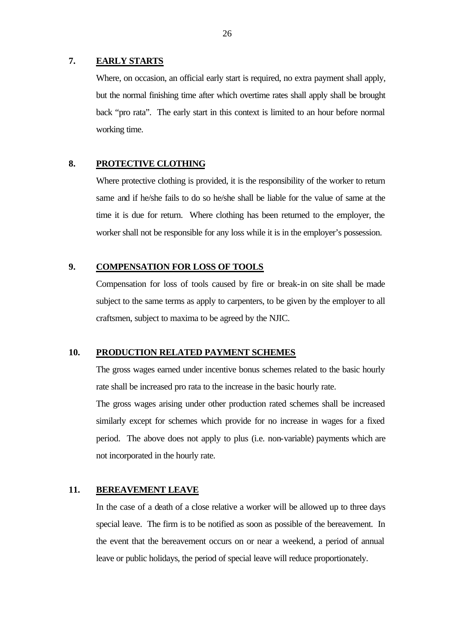### **7. EARLY STARTS**

Where, on occasion, an official early start is required, no extra payment shall apply, but the normal finishing time after which overtime rates shall apply shall be brought back "pro rata". The early start in this context is limited to an hour before normal working time.

## **8. PROTECTIVE CLOTHING**

Where protective clothing is provided, it is the responsibility of the worker to return same and if he/she fails to do so he/she shall be liable for the value of same at the time it is due for return. Where clothing has been returned to the employer, the worker shall not be responsible for any loss while it is in the employer's possession.

## **9. COMPENSATION FOR LOSS OF TOOLS**

Compensation for loss of tools caused by fire or break-in on site shall be made subject to the same terms as apply to carpenters, to be given by the employer to all craftsmen, subject to maxima to be agreed by the NJIC.

### **10. PRODUCTION RELATED PAYMENT SCHEMES**

The gross wages earned under incentive bonus schemes related to the basic hourly rate shall be increased pro rata to the increase in the basic hourly rate.

The gross wages arising under other production rated schemes shall be increased similarly except for schemes which provide for no increase in wages for a fixed period. The above does not apply to plus (i.e. non-variable) payments which are not incorporated in the hourly rate.

## **11. BEREAVEMENT LEAVE**

In the case of a death of a close relative a worker will be allowed up to three days special leave. The firm is to be notified as soon as possible of the bereavement. In the event that the bereavement occurs on or near a weekend, a period of annual leave or public holidays, the period of special leave will reduce proportionately.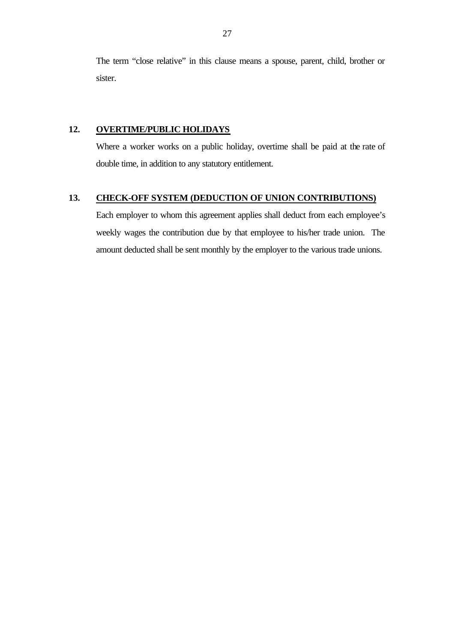The term "close relative" in this clause means a spouse, parent, child, brother or sister.

## **12. OVERTIME/PUBLIC HOLIDAYS**

Where a worker works on a public holiday, overtime shall be paid at the rate of double time, in addition to any statutory entitlement.

## **13. CHECK-OFF SYSTEM (DEDUCTION OF UNION CONTRIBUTIONS)**

Each employer to whom this agreement applies shall deduct from each employee's weekly wages the contribution due by that employee to his/her trade union. The amount deducted shall be sent monthly by the employer to the various trade unions.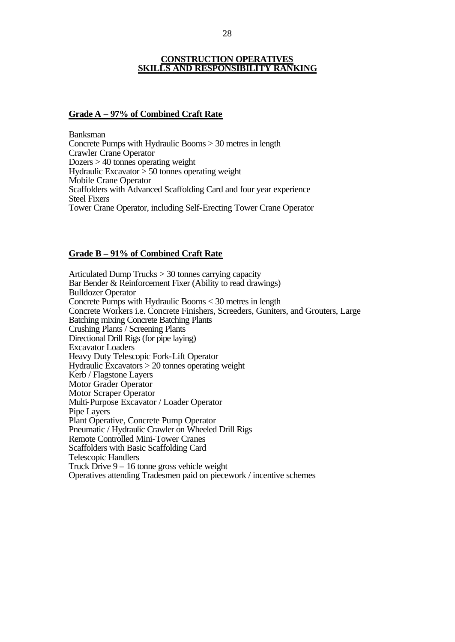## **CONSTRUCTION OPERATIVES SKILLS AND RESPONSIBILITY RANKING**

#### **Grade A – 97% of Combined Craft Rate**

Banksman Concrete Pumps with Hydraulic Booms > 30 metres in length Crawler Crane Operator Dozers > 40 tonnes operating weight Hydraulic Excavator  $> 50$  tonnes operating weight Mobile Crane Operator Scaffolders with Advanced Scaffolding Card and four year experience Steel Fixers Tower Crane Operator, including Self-Erecting Tower Crane Operator

### **Grade B – 91% of Combined Craft Rate**

Articulated Dump Trucks > 30 tonnes carrying capacity Bar Bender & Reinforcement Fixer (Ability to read drawings) Bulldozer Operator Concrete Pumps with Hydraulic Booms < 30 metres in length Concrete Workers i.e. Concrete Finishers, Screeders, Guniters, and Grouters, Large Batching mixing Concrete Batching Plants Crushing Plants / Screening Plants Directional Drill Rigs (for pipe laying) Excavator Loaders Heavy Duty Telescopic Fork-Lift Operator Hydraulic Excavators > 20 tonnes operating weight Kerb / Flagstone Layers Motor Grader Operator Motor Scraper Operator Multi-Purpose Excavator / Loader Operator Pipe Layers Plant Operative, Concrete Pump Operator Pneumatic / Hydraulic Crawler on Wheeled Drill Rigs Remote Controlled Mini-Tower Cranes Scaffolders with Basic Scaffolding Card Telescopic Handlers Truck Drive 9 – 16 tonne gross vehicle weight Operatives attending Tradesmen paid on piecework / incentive schemes